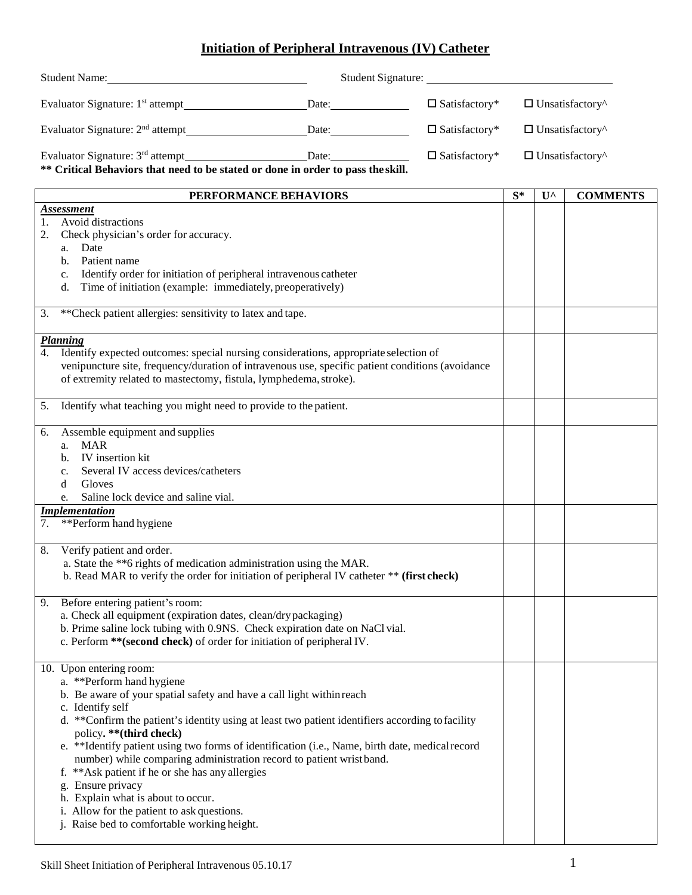## **Initiation of Peripheral Intravenous (IV) Catheter**

| Student Name: 1988 and 2008 and 2008 and 2008 and 2008 and 2008 and 2008 and 2008 and 2008 and 2008 and 2008 and 2008 and 2008 and 2008 and 2008 and 2008 and 2008 and 2008 and 2008 and 2008 and 2008 and 2008 and 2008 and 2                                                                                                                                                                                                                                                                                                                                                                                                                                           |  |                         |                        |                        |                        |  |  |
|--------------------------------------------------------------------------------------------------------------------------------------------------------------------------------------------------------------------------------------------------------------------------------------------------------------------------------------------------------------------------------------------------------------------------------------------------------------------------------------------------------------------------------------------------------------------------------------------------------------------------------------------------------------------------|--|-------------------------|------------------------|------------------------|------------------------|--|--|
|                                                                                                                                                                                                                                                                                                                                                                                                                                                                                                                                                                                                                                                                          |  | $\square$ Satisfactory* | $\Box$ Unsatisfactory^ |                        |                        |  |  |
|                                                                                                                                                                                                                                                                                                                                                                                                                                                                                                                                                                                                                                                                          |  | $\square$ Satisfactory* |                        | $\Box$ Unsatisfactory^ |                        |  |  |
| Date:<br>Evaluator Signature: 3 <sup>rd</sup> attempt<br>$\square$ Satisfactory*<br>** Critical Behaviors that need to be stated or done in order to pass the skill.                                                                                                                                                                                                                                                                                                                                                                                                                                                                                                     |  |                         |                        |                        | $\Box$ Unsatisfactory^ |  |  |
| PERFORMANCE BEHAVIORS                                                                                                                                                                                                                                                                                                                                                                                                                                                                                                                                                                                                                                                    |  |                         | $S^*$                  | $U^{\wedge}$           | <b>COMMENTS</b>        |  |  |
| <b>Assessment</b><br>Avoid distractions<br>1.<br>Check physician's order for accuracy.<br>2.<br>Date<br>a.<br>Patient name<br>$\mathbf{b}$ .<br>Identify order for initiation of peripheral intravenous catheter<br>c.<br>Time of initiation (example: immediately, preoperatively)<br>d.                                                                                                                                                                                                                                                                                                                                                                                |  |                         |                        |                        |                        |  |  |
| ** Check patient allergies: sensitivity to latex and tape.<br>3.                                                                                                                                                                                                                                                                                                                                                                                                                                                                                                                                                                                                         |  |                         |                        |                        |                        |  |  |
| Planning<br>Identify expected outcomes: special nursing considerations, appropriate selection of<br>4.<br>venipuncture site, frequency/duration of intravenous use, specific patient conditions (avoidance<br>of extremity related to mastectomy, fistula, lymphedema, stroke).                                                                                                                                                                                                                                                                                                                                                                                          |  |                         |                        |                        |                        |  |  |
| Identify what teaching you might need to provide to the patient.<br>5.                                                                                                                                                                                                                                                                                                                                                                                                                                                                                                                                                                                                   |  |                         |                        |                        |                        |  |  |
| Assemble equipment and supplies<br>6.<br><b>MAR</b><br>a.<br>IV insertion kit<br>b.<br>Several IV access devices/catheters<br>$c_{\cdot}$<br>Gloves<br>d<br>Saline lock device and saline vial.<br>e.                                                                                                                                                                                                                                                                                                                                                                                                                                                                    |  |                         |                        |                        |                        |  |  |
| <i><u><b>Implementation</b></u></i><br>**Perform hand hygiene<br>7.                                                                                                                                                                                                                                                                                                                                                                                                                                                                                                                                                                                                      |  |                         |                        |                        |                        |  |  |
| Verify patient and order.<br>8.<br>a. State the **6 rights of medication administration using the MAR.<br>b. Read MAR to verify the order for initiation of peripheral IV catheter ** (first check)                                                                                                                                                                                                                                                                                                                                                                                                                                                                      |  |                         |                        |                        |                        |  |  |
| Before entering patient's room:<br>9.<br>a. Check all equipment (expiration dates, clean/dry packaging)<br>b. Prime saline lock tubing with 0.9NS. Check expiration date on NaCl vial.<br>c. Perform ** (second check) of order for initiation of peripheral IV.                                                                                                                                                                                                                                                                                                                                                                                                         |  |                         |                        |                        |                        |  |  |
| 10. Upon entering room:<br>a. **Perform hand hygiene<br>b. Be aware of your spatial safety and have a call light within reach<br>c. Identify self<br>d. **Confirm the patient's identity using at least two patient identifiers according to facility<br>policy. ** (third check)<br>e. **Identify patient using two forms of identification (i.e., Name, birth date, medical record<br>number) while comparing administration record to patient wrist band.<br>f. ** Ask patient if he or she has any allergies<br>g. Ensure privacy<br>h. Explain what is about to occur.<br>i. Allow for the patient to ask questions.<br>j. Raise bed to comfortable working height. |  |                         |                        |                        |                        |  |  |